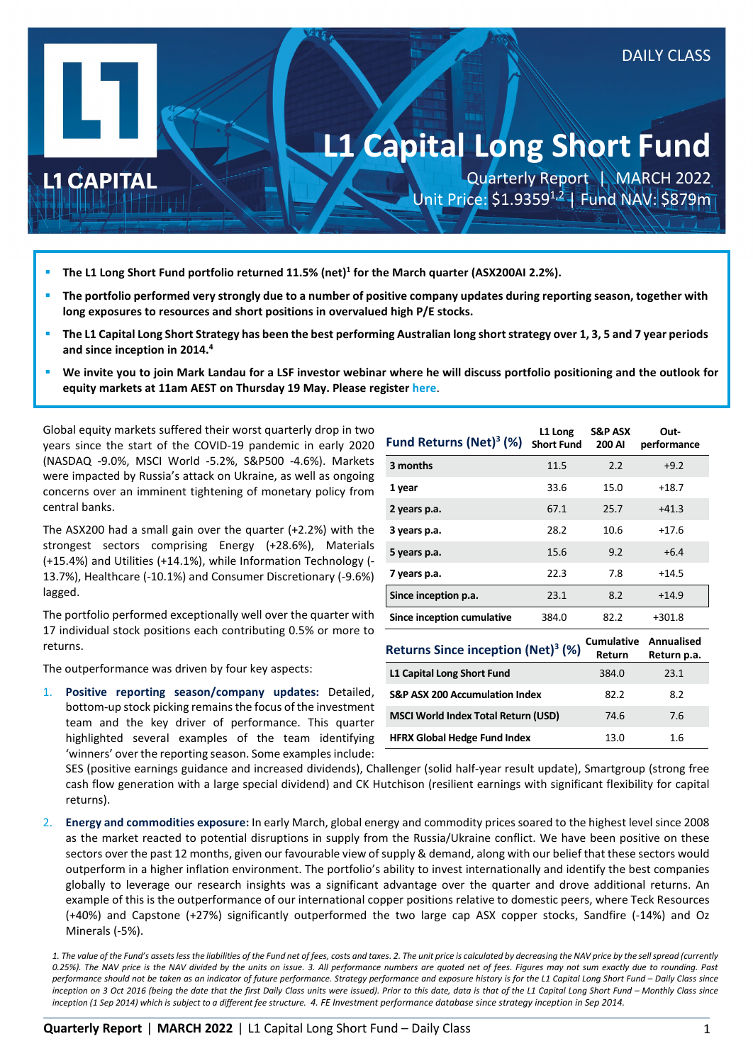# **L1 Capital Long Short Fund**

**L1 CAPITAL** 

Quarterly Report | MARCH 2022 Unit Price: \$1.9359<sup>1,2</sup> | Fund NAV: \$879m

DAILY CLASS

- **The L1 Long Short Fund portfolio returned 11.5% (net)1 for the March quarter (ASX200AI 2.2%).**
- **The portfolio performed very strongly due to a number of positive company updates during reporting season, together with long exposures to resources and short positions in overvalued high P/E stocks.**
- **The L1 Capital Long Short Strategy has been the best performing Australian long short strategy over 1, 3, 5 and 7 year periods and since inception in 2014.4**
- **We invite you to join Mark Landau for a LSF investor webinar where he will discuss portfolio positioning and the outlook for equity markets at 11am AEST on Thursday 19 May. Please register [here](https://attendee.gotowebinar.com/register/6776283986628067088?source=LSFQR)**.

Global equity markets suffered their worst quarterly drop in two years since the start of the COVID-19 pandemic in early 2020 (NASDAQ -9.0%, MSCI World -5.2%, S&P500 -4.6%). Markets were impacted by Russia's attack on Ukraine, as well as ongoing concerns over an imminent tightening of monetary policy from central banks.

The ASX200 had a small gain over the quarter (+2.2%) with the strongest sectors comprising Energy (+28.6%), Materials (+15.4%) and Utilities (+14.1%), while Information Technology (- 13.7%), Healthcare (-10.1%) and Consumer Discretionary (-9.6%) lagged.

The portfolio performed exceptionally well over the quarter with 17 individual stock positions each contributing 0.5% or more to returns.

The outperformance was driven by four key aspects:

1. **Positive reporting season/company updates:** Detailed, bottom-up stock picking remains the focus of the investment team and the key driver of performance. This quarter highlighted several examples of the team identifying 'winners' over the reporting season. Some examples include:

| Fund Returns (Net) <sup>3</sup> (%) | L1 Long<br><b>Short Fund</b> | <b>S&amp;P ASX</b><br>200 AI | Out-<br>performance |
|-------------------------------------|------------------------------|------------------------------|---------------------|
| 3 months                            | 11.5                         | 2.2                          | $+9.2$              |
| 1 year                              | 33.6                         | 15.0                         | $+18.7$             |
| 2 years p.a.                        | 67.1                         | 25.7                         | $+41.3$             |
| 3 years p.a.                        | 28.2                         | 10.6                         | $+17.6$             |
| 5 years p.a.                        | 15.6                         | 9.2                          | $+6.4$              |
| 7 years p.a.                        | 22.3                         | 7.8                          | $+14.5$             |
| Since inception p.a.                | 23.1                         | 8.2                          | $+14.9$             |
| Since inception cumulative          | 384.0                        | 82.2                         | +301.8              |
| $D$ otuwa Cinco incontinu $D(A)$    |                              | <b>Cumulative</b>            | Annualised          |

| <b>Returns Since inception (Net)<sup>3</sup> (%)</b> | <b>Cumulative</b><br>Return | Annualised<br>Return p.a. |
|------------------------------------------------------|-----------------------------|---------------------------|
| L1 Capital Long Short Fund                           | 384.0                       | 23.1                      |
| <b>S&amp;P ASX 200 Accumulation Index</b>            | 82.2                        | 8.2                       |
| <b>MSCI World Index Total Return (USD)</b>           | 74.6                        | 7.6                       |
| <b>HFRX Global Hedge Fund Index</b>                  | 13.0                        | 1.6                       |

SES (positive earnings guidance and increased dividends), Challenger (solid half-year result update), Smartgroup (strong free cash flow generation with a large special dividend) and CK Hutchison (resilient earnings with significant flexibility for capital returns).

2. **Energy and commodities exposure:** In early March, global energy and commodity prices soared to the highest level since 2008 as the market reacted to potential disruptions in supply from the Russia/Ukraine conflict. We have been positive on these sectors over the past 12 months, given our favourable view of supply & demand, along with our belief that these sectors would outperform in a higher inflation environment. The portfolio's ability to invest internationally and identify the best companies globally to leverage our research insights was a significant advantage over the quarter and drove additional returns. An example of this is the outperformance of our international copper positions relative to domestic peers, where Teck Resources (+40%) and Capstone (+27%) significantly outperformed the two large cap ASX copper stocks, Sandfire (-14%) and Oz Minerals (-5%).

*1. The value of the Fund's assets less the liabilities of the Fund net of fees, costs and taxes. 2. The unit price is calculated by decreasing the NAV price by the sell spread (currently 0.25%). The NAV price is the NAV divided by the units on issue. 3. All performance numbers are quoted net of fees. Figures may not sum exactly due to rounding. Past performance should not be taken as an indicator of future performance. Strategy performance and exposure history is for the L1 Capital Long Short Fund – Daily Class since inception on 3 Oct 2016 (being the date that the first Daily Class units were issued). Prior to this date, data is that of the L1 Capital Long Short Fund – Monthly Class since inception (1 Sep 2014) which is subject to a different fee structure. 4. FE Investment performance database since strategy inception in Sep 2014.*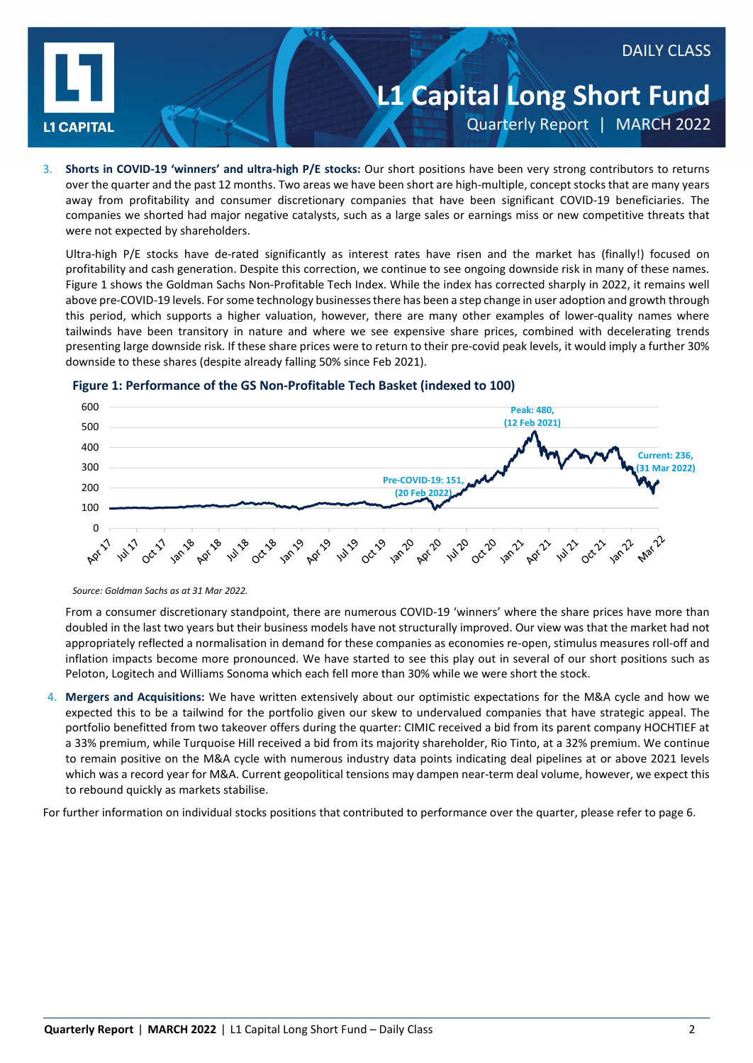

## **L1 Capital Long Short Fund** Quarterly Report | MARCH 2022

DAILY CLASS

3. **Shorts in COVID-19 'winners' and ultra-high P/E stocks:** Our short positions have been very strong contributors to returns over the quarter and the past 12 months. Two areas we have been short are high-multiple, concept stocks that are many years away from profitability and consumer discretionary companies that have been significant COVID-19 beneficiaries. The companies we shorted had major negative catalysts, such as a large sales or earnings miss or new competitive threats that were not expected by shareholders.

Ultra-high P/E stocks have de-rated significantly as interest rates have risen and the market has (finally!) focused on profitability and cash generation. Despite this correction, we continue to see ongoing downside risk in many of these names. Figure 1 shows the Goldman Sachs Non-Profitable Tech Index. While the index has corrected sharply in 2022, it remains well above pre-COVID-19 levels. For some technology businesses there has been a step change in user adoption and growth through this period, which supports a higher valuation, however, there are many other examples of lower-quality names where tailwinds have been transitory in nature and where we see expensive share prices, combined with decelerating trends presenting large downside risk. If these share prices were to return to their pre-covid peak levels, it would imply a further 30% downside to these shares (despite already falling 50% since Feb 2021).



### **Figure 1: Performance of the GS Non-Profitable Tech Basket (indexed to 100)**

*Source: Goldman Sachs as at 31 Mar 2022.* 

From a consumer discretionary standpoint, there are numerous COVID-19 'winners' where the share prices have more than doubled in the last two years but their business models have not structurally improved. Our view was that the market had not appropriately reflected a normalisation in demand for these companies as economies re-open, stimulus measures roll-off and inflation impacts become more pronounced. We have started to see this play out in several of our short positions such as Peloton, Logitech and Williams Sonoma which each fell more than 30% while we were short the stock.

4. **Mergers and Acquisitions:** We have written extensively about our optimistic expectations for the M&A cycle and how we expected this to be a tailwind for the portfolio given our skew to undervalued companies that have strategic appeal. The portfolio benefitted from two takeover offers during the quarter: CIMIC received a bid from its parent company HOCHTIEF at a 33% premium, while Turquoise Hill received a bid from its majority shareholder, Rio Tinto, at a 32% premium. We continue to remain positive on the M&A cycle with numerous industry data points indicating deal pipelines at or above 2021 levels which was a record year for M&A. Current geopolitical tensions may dampen near-term deal volume, however, we expect this to rebound quickly as markets stabilise.

For further information on individual stocks positions that contributed to performance over the quarter, please refer to page 6.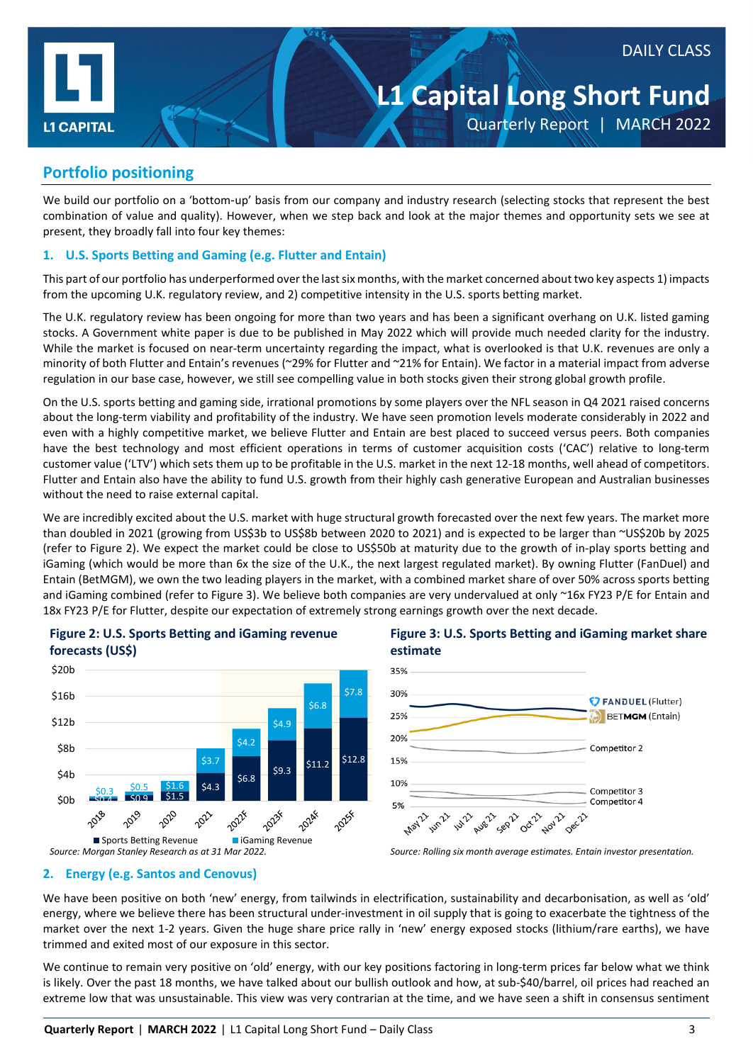

### **L1 Capital Long Short Fund** Quarterly Report | MARCH 2022

### **Portfolio positioning**

We build our portfolio on a 'bottom-up' basis from our company and industry research (selecting stocks that represent the best combination of value and quality). However, when we step back and look at the major themes and opportunity sets we see at present, they broadly fall into four key themes:

### **1. U.S. Sports Betting and Gaming (e.g. Flutter and Entain)**

This part of our portfolio has underperformed over the last six months, with the market concerned about two key aspects 1) impacts from the upcoming U.K. regulatory review, and 2) competitive intensity in the U.S. sports betting market.

The U.K. regulatory review has been ongoing for more than two years and has been a significant overhang on U.K. listed gaming stocks. A Government white paper is due to be published in May 2022 which will provide much needed clarity for the industry. While the market is focused on near-term uncertainty regarding the impact, what is overlooked is that U.K. revenues are only a minority of both Flutter and Entain's revenues (~29% for Flutter and ~21% for Entain). We factor in a material impact from adverse regulation in our base case, however, we still see compelling value in both stocks given their strong global growth profile.

On the U.S. sports betting and gaming side, irrational promotions by some players over the NFL season in Q4 2021 raised concerns about the long-term viability and profitability of the industry. We have seen promotion levels moderate considerably in 2022 and even with a highly competitive market, we believe Flutter and Entain are best placed to succeed versus peers. Both companies have the best technology and most efficient operations in terms of customer acquisition costs ('CAC') relative to long-term customer value ('LTV') which sets them up to be profitable in the U.S. market in the next 12-18 months, well ahead of competitors. Flutter and Entain also have the ability to fund U.S. growth from their highly cash generative European and Australian businesses without the need to raise external capital.

We are incredibly excited about the U.S. market with huge structural growth forecasted over the next few years. The market more than doubled in 2021 (growing from US\$3b to US\$8b between 2020 to 2021) and is expected to be larger than ~US\$20b by 2025 (refer to Figure 2). We expect the market could be close to US\$50b at maturity due to the growth of in-play sports betting and iGaming (which would be more than 6x the size of the U.K., the next largest regulated market). By owning Flutter (FanDuel) and Entain (BetMGM), we own the two leading players in the market, with a combined market share of over 50% across sports betting and iGaming combined (refer to Figure 3). We believe both companies are very undervalued at only ~16x FY23 P/E for Entain and 18x FY23 P/E for Flutter, despite our expectation of extremely strong earnings growth over the next decade.



### **Figure 2: U.S. Sports Betting and iGaming revenue**



### **Figure 3: U.S. Sports Betting and iGaming market share estimate**

### **2. Energy (e.g. Santos and Cenovus)**

We have been positive on both 'new' energy, from tailwinds in electrification, sustainability and decarbonisation, as well as 'old' energy, where we believe there has been structural under-investment in oil supply that is going to exacerbate the tightness of the market over the next 1-2 years. Given the huge share price rally in 'new' energy exposed stocks (lithium/rare earths), we have trimmed and exited most of our exposure in this sector.

We continue to remain very positive on 'old' energy, with our key positions factoring in long-term prices far below what we think is likely. Over the past 18 months, we have talked about our bullish outlook and how, at sub-\$40/barrel, oil prices had reached an extreme low that was unsustainable. This view was very contrarian at the time, and we have seen a shift in consensus sentiment

*Source: Morgan Stanley Research as at 31 Mar 2022. Source: Rolling six month average estimates. Entain investor presentation.*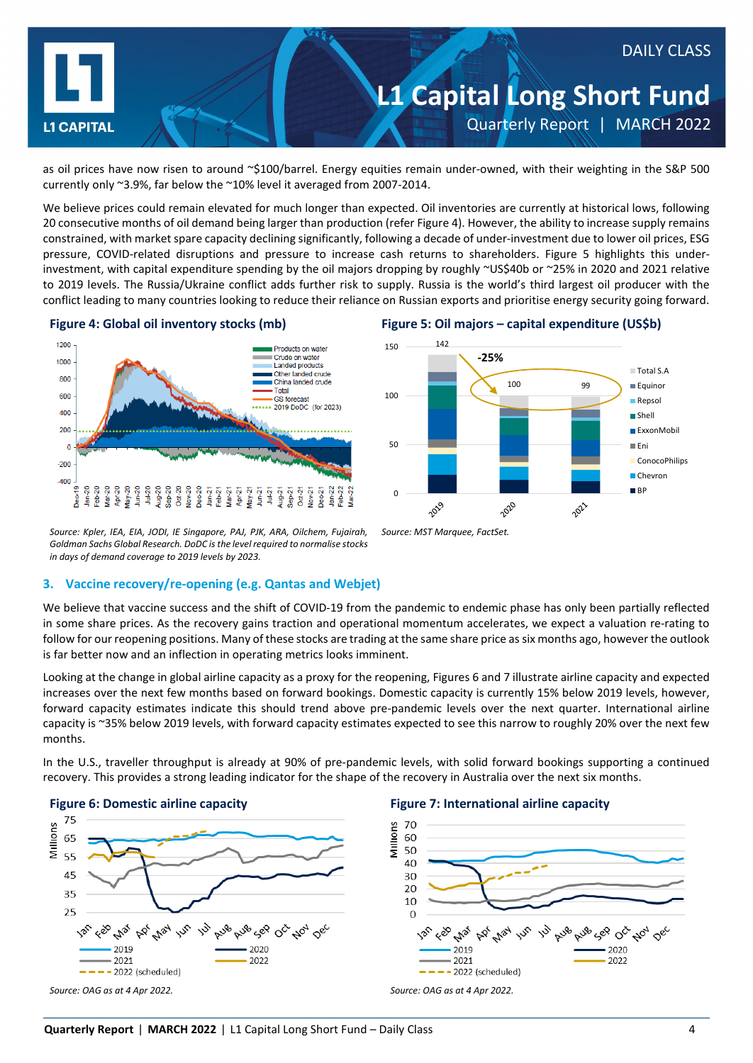

as oil prices have now risen to around ~\$100/barrel. Energy equities remain under-owned, with their weighting in the S&P 500 currently only ~3.9%, far below the ~10% level it averaged from 2007-2014.

We believe prices could remain elevated for much longer than expected. Oil inventories are currently at historical lows, following 20 consecutive months of oil demand being larger than production (refer Figure 4). However, the ability to increase supply remains constrained, with market spare capacity declining significantly, following a decade of under-investment due to lower oil prices, ESG pressure, COVID-related disruptions and pressure to increase cash returns to shareholders. Figure 5 highlights this underinvestment, with capital expenditure spending by the oil majors dropping by roughly ~US\$40b or ~25% in 2020 and 2021 relative to 2019 levels. The Russia/Ukraine conflict adds further risk to supply. Russia is the world's third largest oil producer with the conflict leading to many countries looking to reduce their reliance on Russian exports and prioritise energy security going forward.



### **Figure 4: Global oil inventory stocks (mb) Figure 5: Oil majors – capital expenditure (US\$b)**



*Source: Kpler, IEA, EIA, JODI, IE Singapore, PAJ, PJK, ARA, Oilchem, Fujairah, Goldman Sachs Global Research. DoDC isthe level required to normalise stocks in days of demand coverage to 2019 levels by 2023.*

#### **3. Vaccine recovery/re-opening (e.g. Qantas and Webjet)**

We believe that vaccine success and the shift of COVID-19 from the pandemic to endemic phase has only been partially reflected in some share prices. As the recovery gains traction and operational momentum accelerates, we expect a valuation re-rating to follow for our reopening positions. Many of these stocks are trading at the same share price as six months ago, however the outlook is far better now and an inflection in operating metrics looks imminent.

*Source: MST Marquee, FactSet.*

Looking at the change in global airline capacity as a proxy for the reopening, Figures 6 and 7 illustrate airline capacity and expected increases over the next few months based on forward bookings. Domestic capacity is currently 15% below 2019 levels, however, forward capacity estimates indicate this should trend above pre-pandemic levels over the next quarter. International airline capacity is ~35% below 2019 levels, with forward capacity estimates expected to see this narrow to roughly 20% over the next few months.

In the U.S., traveller throughput is already at 90% of pre-pandemic levels, with solid forward bookings supporting a continued recovery. This provides a strong leading indicator for the shape of the recovery in Australia over the next six months.



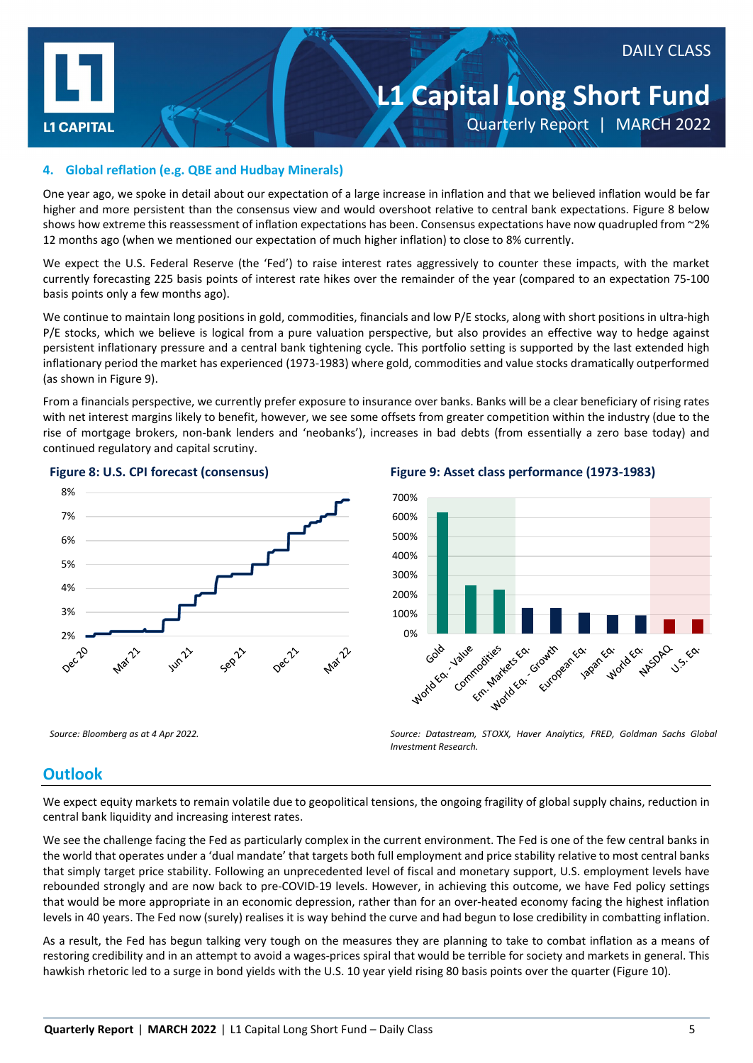

## DAILY CLASS

### **L1 Capital Long Short Fund** Quarterly Report | MARCH 2022

### **4. Global reflation (e.g. QBE and Hudbay Minerals)**

One year ago, we spoke in detail about our expectation of a large increase in inflation and that we believed inflation would be far higher and more persistent than the consensus view and would overshoot relative to central bank expectations. Figure 8 below shows how extreme this reassessment of inflation expectations has been. Consensus expectations have now quadrupled from ~2% 12 months ago (when we mentioned our expectation of much higher inflation) to close to 8% currently.

We expect the U.S. Federal Reserve (the 'Fed') to raise interest rates aggressively to counter these impacts, with the market currently forecasting 225 basis points of interest rate hikes over the remainder of the year (compared to an expectation 75-100 basis points only a few months ago).

We continue to maintain long positions in gold, commodities, financials and low P/E stocks, along with short positions in ultra-high P/E stocks, which we believe is logical from a pure valuation perspective, but also provides an effective way to hedge against persistent inflationary pressure and a central bank tightening cycle. This portfolio setting is supported by the last extended high inflationary period the market has experienced (1973-1983) where gold, commodities and value stocks dramatically outperformed (as shown in Figure 9).

From a financials perspective, we currently prefer exposure to insurance over banks. Banks will be a clear beneficiary of rising rates with net interest margins likely to benefit, however, we see some offsets from greater competition within the industry (due to the rise of mortgage brokers, non-bank lenders and 'neobanks'), increases in bad debts (from essentially a zero base today) and continued regulatory and capital scrutiny.





**Figure 8: U.S. CPI forecast (consensus) Figure 9: Asset class performance (1973-1983)**



*Source: Bloomberg as at 4 Apr 2022. Source: Datastream, STOXX, Haver Analytics, FRED, Goldman Sachs Global Investment Research.*

### **Outlook**

We expect equity markets to remain volatile due to geopolitical tensions, the ongoing fragility of global supply chains, reduction in central bank liquidity and increasing interest rates.

We see the challenge facing the Fed as particularly complex in the current environment. The Fed is one of the few central banks in the world that operates under a 'dual mandate' that targets both full employment and price stability relative to most central banks that simply target price stability. Following an unprecedented level of fiscal and monetary support, U.S. employment levels have rebounded strongly and are now back to pre-COVID-19 levels. However, in achieving this outcome, we have Fed policy settings that would be more appropriate in an economic depression, rather than for an over-heated economy facing the highest inflation levels in 40 years. The Fed now (surely) realises it is way behind the curve and had begun to lose credibility in combatting inflation.

As a result, the Fed has begun talking very tough on the measures they are planning to take to combat inflation as a means of restoring credibility and in an attempt to avoid a wages-prices spiral that would be terrible for society and markets in general. This hawkish rhetoric led to a surge in bond yields with the U.S. 10 year yield rising 80 basis points over the quarter (Figure 10).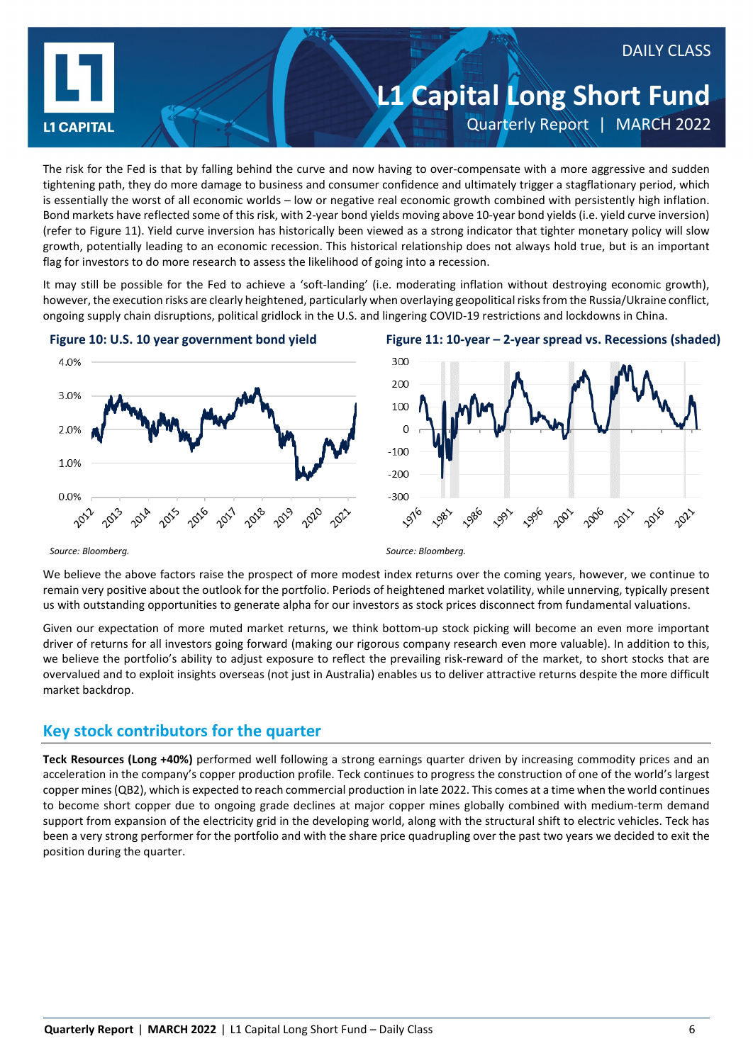

The risk for the Fed is that by falling behind the curve and now having to over-compensate with a more aggressive and sudden tightening path, they do more damage to business and consumer confidence and ultimately trigger a stagflationary period, which is essentially the worst of all economic worlds – low or negative real economic growth combined with persistently high inflation. Bond markets have reflected some of this risk, with 2-year bond yields moving above 10-year bond yields (i.e. yield curve inversion) (refer to Figure 11). Yield curve inversion has historically been viewed as a strong indicator that tighter monetary policy will slow growth, potentially leading to an economic recession. This historical relationship does not always hold true, but is an important flag for investors to do more research to assess the likelihood of going into a recession.

It may still be possible for the Fed to achieve a 'soft-landing' (i.e. moderating inflation without destroying economic growth), however, the execution risks are clearly heightened, particularly when overlaying geopolitical risks from the Russia/Ukraine conflict, ongoing supply chain disruptions, political gridlock in the U.S. and lingering COVID-19 restrictions and lockdowns in China.







*Source: Bloomberg. Source: Bloomberg.*

We believe the above factors raise the prospect of more modest index returns over the coming years, however, we continue to remain very positive about the outlook for the portfolio. Periods of heightened market volatility, while unnerving, typically present us with outstanding opportunities to generate alpha for our investors as stock prices disconnect from fundamental valuations.

Given our expectation of more muted market returns, we think bottom-up stock picking will become an even more important driver of returns for all investors going forward (making our rigorous company research even more valuable). In addition to this, we believe the portfolio's ability to adjust exposure to reflect the prevailing risk-reward of the market, to short stocks that are overvalued and to exploit insights overseas (not just in Australia) enables us to deliver attractive returns despite the more difficult market backdrop.

### **Key stock contributors for the quarter**

**Teck Resources (Long +40%)** performed well following a strong earnings quarter driven by increasing commodity prices and an acceleration in the company's copper production profile. Teck continues to progress the construction of one of the world's largest copper mines (QB2), which is expected to reach commercial production in late 2022. This comes at a time when the world continues to become short copper due to ongoing grade declines at major copper mines globally combined with medium-term demand support from expansion of the electricity grid in the developing world, along with the structural shift to electric vehicles. Teck has been a very strong performer for the portfolio and with the share price quadrupling over the past two years we decided to exit the position during the quarter.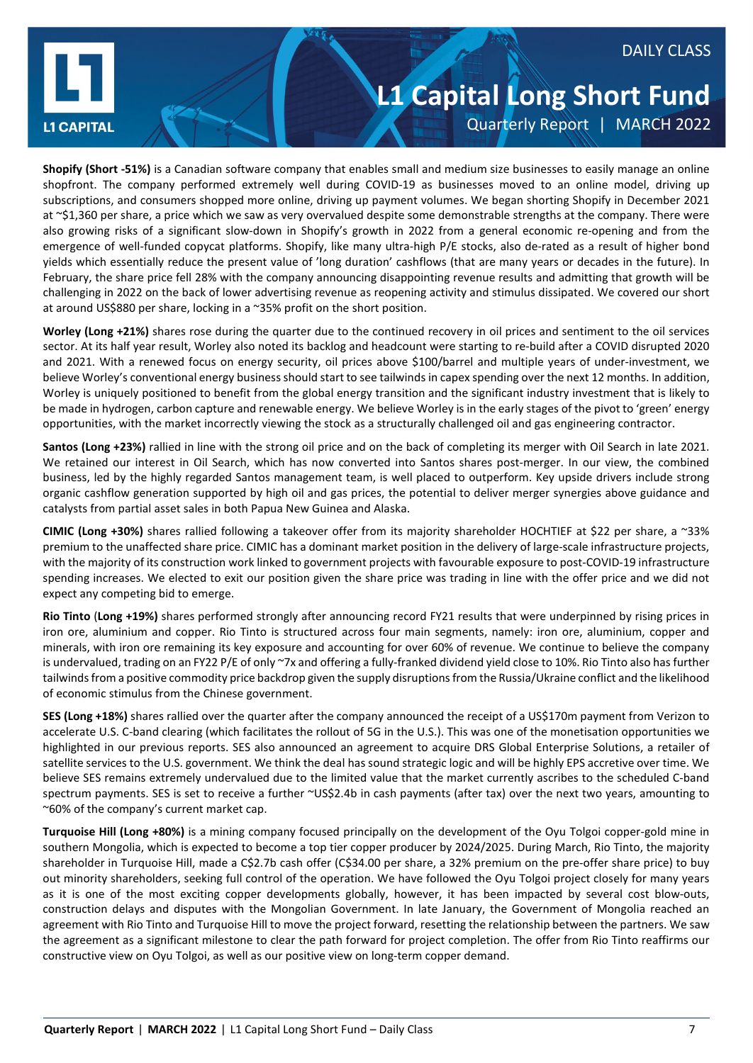



### **L1 Capital Long Short Fund** Quarterly Report | MARCH 2022

**Shopify (Short -51%)** is a Canadian software company that enables small and medium size businesses to easily manage an online shopfront. The company performed extremely well during COVID-19 as businesses moved to an online model, driving up subscriptions, and consumers shopped more online, driving up payment volumes. We began shorting Shopify in December 2021 at ~\$1,360 per share, a price which we saw as very overvalued despite some demonstrable strengths at the company. There were also growing risks of a significant slow-down in Shopify's growth in 2022 from a general economic re-opening and from the emergence of well-funded copycat platforms. Shopify, like many ultra-high P/E stocks, also de-rated as a result of higher bond yields which essentially reduce the present value of 'long duration' cashflows (that are many years or decades in the future). In February, the share price fell 28% with the company announcing disappointing revenue results and admitting that growth will be challenging in 2022 on the back of lower advertising revenue as reopening activity and stimulus dissipated. We covered our short at around US\$880 per share, locking in a ~35% profit on the short position.

**Worley (Long +21%)** shares rose during the quarter due to the continued recovery in oil prices and sentiment to the oil services sector. At its half year result, Worley also noted its backlog and headcount were starting to re-build after a COVID disrupted 2020 and 2021. With a renewed focus on energy security, oil prices above \$100/barrel and multiple years of under-investment, we believe Worley's conventional energy business should start to see tailwinds in capex spending over the next 12 months. In addition, Worley is uniquely positioned to benefit from the global energy transition and the significant industry investment that is likely to be made in hydrogen, carbon capture and renewable energy. We believe Worley is in the early stages of the pivot to 'green' energy opportunities, with the market incorrectly viewing the stock as a structurally challenged oil and gas engineering contractor.

**Santos (Long +23%)** rallied in line with the strong oil price and on the back of completing its merger with Oil Search in late 2021. We retained our interest in Oil Search, which has now converted into Santos shares post-merger. In our view, the combined business, led by the highly regarded Santos management team, is well placed to outperform. Key upside drivers include strong organic cashflow generation supported by high oil and gas prices, the potential to deliver merger synergies above guidance and catalysts from partial asset sales in both Papua New Guinea and Alaska.

**CIMIC (Long +30%)** shares rallied following a takeover offer from its majority shareholder HOCHTIEF at \$22 per share, a ~33% premium to the unaffected share price. CIMIC has a dominant market position in the delivery of large-scale infrastructure projects, with the majority of its construction work linked to government projects with favourable exposure to post-COVID-19 infrastructure spending increases. We elected to exit our position given the share price was trading in line with the offer price and we did not expect any competing bid to emerge.

**Rio Tinto** (**Long +19%)** shares performed strongly after announcing record FY21 results that were underpinned by rising prices in iron ore, aluminium and copper. Rio Tinto is structured across four main segments, namely: iron ore, aluminium, copper and minerals, with iron ore remaining its key exposure and accounting for over 60% of revenue. We continue to believe the company is undervalued, trading on an FY22 P/E of only ~7x and offering a fully-franked dividend yield close to 10%. Rio Tinto also has further tailwinds from a positive commodity price backdrop given the supply disruptions from the Russia/Ukraine conflict and the likelihood of economic stimulus from the Chinese government.

**SES (Long +18%)** shares rallied over the quarter after the company announced the receipt of a US\$170m payment from Verizon to accelerate U.S. C-band clearing (which facilitates the rollout of 5G in the U.S.). This was one of the monetisation opportunities we highlighted in our previous reports. SES also announced an agreement to acquire DRS Global Enterprise Solutions, a retailer of satellite services to the U.S. government. We think the deal has sound strategic logic and will be highly EPS accretive over time. We believe SES remains extremely undervalued due to the limited value that the market currently ascribes to the scheduled C-band spectrum payments. SES is set to receive a further ~US\$2.4b in cash payments (after tax) over the next two years, amounting to ~60% of the company's current market cap.

**Turquoise Hill (Long +80%)** is a mining company focused principally on the development of the Oyu Tolgoi copper-gold mine in southern Mongolia, which is expected to become a top tier copper producer by 2024/2025. During March, Rio Tinto, the majority shareholder in Turquoise Hill, made a C\$2.7b cash offer (C\$34.00 per share, a 32% premium on the pre-offer share price) to buy out minority shareholders, seeking full control of the operation. We have followed the Oyu Tolgoi project closely for many years as it is one of the most exciting copper developments globally, however, it has been impacted by several cost blow-outs, construction delays and disputes with the Mongolian Government. In late January, the Government of Mongolia reached an agreement with Rio Tinto and Turquoise Hill to move the project forward, resetting the relationship between the partners. We saw the agreement as a significant milestone to clear the path forward for project completion. The offer from Rio Tinto reaffirms our constructive view on Oyu Tolgoi, as well as our positive view on long-term copper demand.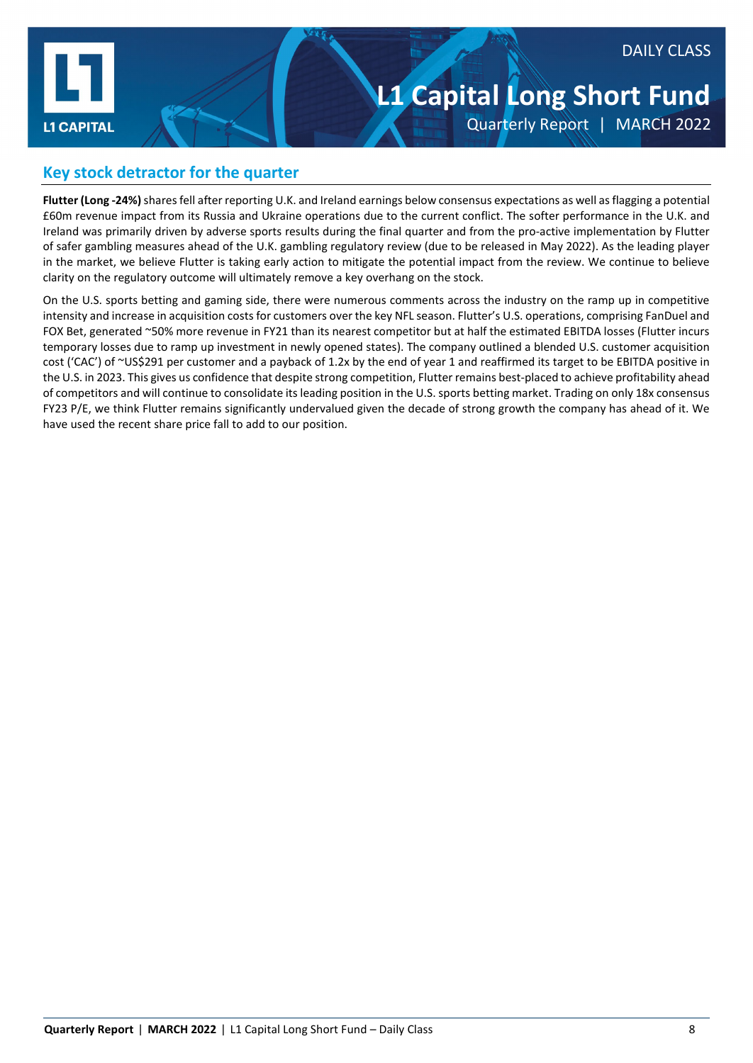

### DAILY CLASS

### **L1 Capital Long Short Fund** Quarterly Report | MARCH 2022

### **Key stock detractor for the quarter**

**Flutter (Long -24%)** shares fell after reporting U.K. and Ireland earnings below consensus expectations as well as flagging a potential £60m revenue impact from its Russia and Ukraine operations due to the current conflict. The softer performance in the U.K. and Ireland was primarily driven by adverse sports results during the final quarter and from the pro-active implementation by Flutter of safer gambling measures ahead of the U.K. gambling regulatory review (due to be released in May 2022). As the leading player in the market, we believe Flutter is taking early action to mitigate the potential impact from the review. We continue to believe clarity on the regulatory outcome will ultimately remove a key overhang on the stock.

On the U.S. sports betting and gaming side, there were numerous comments across the industry on the ramp up in competitive intensity and increase in acquisition costs for customers over the key NFL season. Flutter's U.S. operations, comprising FanDuel and FOX Bet, generated ~50% more revenue in FY21 than its nearest competitor but at half the estimated EBITDA losses (Flutter incurs temporary losses due to ramp up investment in newly opened states). The company outlined a blended U.S. customer acquisition cost ('CAC') of ~US\$291 per customer and a payback of 1.2x by the end of year 1 and reaffirmed its target to be EBITDA positive in the U.S. in 2023. This gives us confidence that despite strong competition, Flutter remains best-placed to achieve profitability ahead of competitors and will continue to consolidate its leading position in the U.S. sports betting market. Trading on only 18x consensus FY23 P/E, we think Flutter remains significantly undervalued given the decade of strong growth the company has ahead of it. We have used the recent share price fall to add to our position.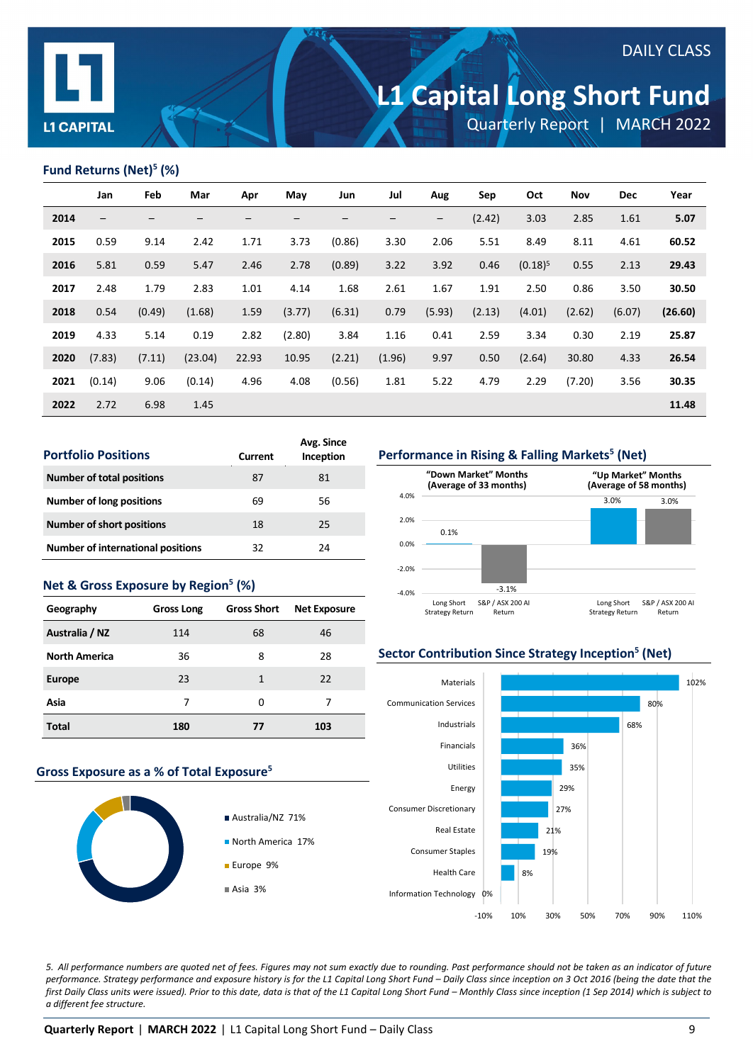

### DAILY CLASS

# **L1 Capital Long Short Fund**

Quarterly Report | MARCH 2022

### **Fund Returns (Net)5 (%)**

|      | Jan                      | Feb    | Mar     | Apr             | May    | Jun                      | Jul               | Aug                      | Sep    | Oct        | Nov    | <b>Dec</b> | Year    |
|------|--------------------------|--------|---------|-----------------|--------|--------------------------|-------------------|--------------------------|--------|------------|--------|------------|---------|
| 2014 | $\overline{\phantom{m}}$ | —      | —       | $\qquad \qquad$ |        | $\overline{\phantom{m}}$ | $\qquad \qquad -$ | $\overline{\phantom{m}}$ | (2.42) | 3.03       | 2.85   | 1.61       | 5.07    |
| 2015 | 0.59                     | 9.14   | 2.42    | 1.71            | 3.73   | (0.86)                   | 3.30              | 2.06                     | 5.51   | 8.49       | 8.11   | 4.61       | 60.52   |
| 2016 | 5.81                     | 0.59   | 5.47    | 2.46            | 2.78   | (0.89)                   | 3.22              | 3.92                     | 0.46   | $(0.18)^5$ | 0.55   | 2.13       | 29.43   |
| 2017 | 2.48                     | 1.79   | 2.83    | 1.01            | 4.14   | 1.68                     | 2.61              | 1.67                     | 1.91   | 2.50       | 0.86   | 3.50       | 30.50   |
| 2018 | 0.54                     | (0.49) | (1.68)  | 1.59            | (3.77) | (6.31)                   | 0.79              | (5.93)                   | (2.13) | (4.01)     | (2.62) | (6.07)     | (26.60) |
| 2019 | 4.33                     | 5.14   | 0.19    | 2.82            | (2.80) | 3.84                     | 1.16              | 0.41                     | 2.59   | 3.34       | 0.30   | 2.19       | 25.87   |
| 2020 | (7.83)                   | (7.11) | (23.04) | 22.93           | 10.95  | (2.21)                   | (1.96)            | 9.97                     | 0.50   | (2.64)     | 30.80  | 4.33       | 26.54   |
| 2021 | (0.14)                   | 9.06   | (0.14)  | 4.96            | 4.08   | (0.56)                   | 1.81              | 5.22                     | 4.79   | 2.29       | (7.20) | 3.56       | 30.35   |
| 2022 | 2.72                     | 6.98   | 1.45    |                 |        |                          |                   |                          |        |            |        |            | 11.48   |

| <b>Portfolio Positions</b>               | Current | Avg. Since<br>Inception |
|------------------------------------------|---------|-------------------------|
| <b>Number of total positions</b>         | 87      | 81                      |
| Number of long positions                 | 69      | 56                      |
| <b>Number of short positions</b>         | 18      | 25                      |
| <b>Number of international positions</b> | 32      | 24                      |
|                                          |         |                         |

### **Net & Gross Exposure by Region5 (%)**

| Geography            | <b>Gross Long</b> | <b>Gross Short</b> | <b>Net Exposure</b> |
|----------------------|-------------------|--------------------|---------------------|
| Australia / NZ       | 114               | 68                 | 46                  |
| <b>North America</b> | 36                | 8                  | 28                  |
| <b>Europe</b>        | 23                | 1                  | 22                  |
| Asia                 | 7                 | 0                  | 7                   |
| Total                | 180               | 77                 | 103                 |

#### **Gross Exposure as a % of Total Exposure5**



**Performance in Rising & Falling Markets<sup>5</sup> (Net)** 



#### **Sector Contribution Since Strategy Inception5 (Net)**



*5. All performance numbers are quoted net of fees. Figures may not sum exactly due to rounding. Past performance should not be taken as an indicator of future performance. Strategy performance and exposure history is for the L1 Capital Long Short Fund – Daily Class since inception on 3 Oct 2016 (being the date that the first Daily Class units were issued). Prior to this date, data is that of the L1 Capital Long Short Fund – Monthly Class since inception (1 Sep 2014) which is subject to a different fee structure.*